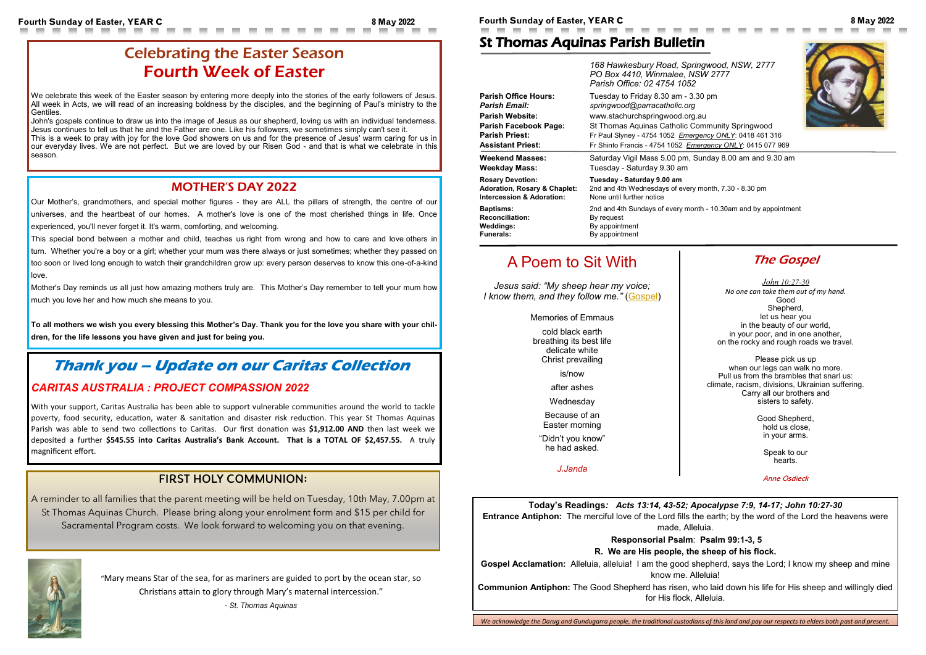Fourth Sunday of Easter, YEAR C 8 May 2022 8 May 2022 8 May 2022 **Fourth Sunday of Easter, YEAR C** 8 May 2022 8 May 2022

**Today's Readings***: Acts 13:14, 43-52; Apocalypse 7:9, 14-17; John 10:27-30* **Entrance Antiphon:** The merciful love of the Lord fills the earth; by the word of the Lord the heavens were made, Alleluia.

**Gospel Acclamation:** Alleluia, alleluia! I am the good shepherd, says the Lord; I know my sheep and mine know me. Alleluia!

**Responsorial Psalm**: **Psalm 99:1-3, 5**

#### **R. We are His people, the sheep of his flock.**

**Communion Antiphon:** The Good Shepherd has risen, who laid down his life for His sheep and willingly died for His flock, Alleluia.

We acknowledge the Darug and Gundugarra people, the traditional custodians of this land and pay our respects to elders both past and present.

## St Thomas Aquinas Parish Bulletin

**The Gospel** 

|                                         | 168 Hawkesbury Road, Springwood, NSW, 2777<br>PO Box 4410, Winmalee, NSW 2777<br>Parish Office: 02 4754 1052 |
|-----------------------------------------|--------------------------------------------------------------------------------------------------------------|
| <b>Parish Office Hours:</b>             | Tuesday to Friday 8.30 am - 3.30 pm                                                                          |
| <b>Parish Email:</b>                    | springwood@parracatholic.org                                                                                 |
| <b>Parish Website:</b>                  | www.stachurchspringwood.org.au                                                                               |
| Parish Facebook Page:                   | St Thomas Aquinas Catholic Community Springwood                                                              |
| <b>Parish Priest:</b>                   | Fr Paul Slyney - 4754 1052 Emergency ONLY: 0418 461 316                                                      |
| <b>Assistant Priest:</b>                | Fr Shinto Francis - 4754 1052 Emergency ONLY: 0415 077 969                                                   |
| <b>Weekend Masses:</b>                  | Saturday Vigil Mass 5.00 pm, Sunday 8.00 am and 9.30 am                                                      |
| <b>Weekday Mass:</b>                    | Tuesday - Saturday 9.30 am                                                                                   |
| <b>Rosary Devotion:</b>                 | Tuesday - Saturday 9.00 am                                                                                   |
| <b>Adoration, Rosary &amp; Chaplet:</b> | 2nd and 4th Wednesdays of every month, 7.30 - 8.30 pm                                                        |
| Intercession & Adoration:               | None until further notice                                                                                    |
| <b>Baptisms:</b>                        | 2nd and 4th Sundays of every month - 10.30am and by appointment                                              |
| <b>Reconciliation:</b>                  | By request                                                                                                   |
| Weddings:                               | By appointment                                                                                               |
| <b>Funerals:</b>                        | By appointment                                                                                               |

We celebrate this week of the Easter season by entering more deeply into the stories of the early followers of Jesus. All week in Acts, we will read of an increasing boldness by the disciples, and the beginning of Paul's ministry to the Gentiles.

> *[John](https://bible.usccb.org/bible/john/10?27) 10:27-30 No one can take them out of my hand.* Good Shepherd, let us hear you in the beauty of our world, in your poor, and in one another, on the rocky and rough roads we travel.

Please pick us up when our legs can walk no more. Pull us from the brambles that snarl us: climate, racism, divisions, Ukrainian suffering. Carry all our brothers and sisters to safety.

> Good Shepherd, hold us close, in your arms.

> > Speak to our hearts.

Anne Osdieck



# A Poem to Sit With

*Jesus said: "My sheep hear my voice; I know them, and they follow me."* ([Gospel\)](https://bible.usccb.org/bible/readings/050822.cfm)

Memories of Emmaus

cold black earth breathing its best life delicate white Christ prevailing

is/now

after ashes Wednesday

Because of an Easter morning

"Didn't you know" he had asked.

*J.Janda*

# Celebrating the Easter Season Fourth Week of Easter

John's gospels continue to draw us into the image of Jesus as our shepherd, loving us with an individual tenderness. Jesus continues to tell us that he and the Father are one. Like his followers, we sometimes simply can't see it. This is a week to pray with joy for the love God showers on us and for the presence of Jesus' warm caring for us in our everyday lives. We are not perfect. But we are loved by our Risen God - and that is what we celebrate in this season.

### MOTHER'S DAY 2022

Our Mother's, grandmothers, and special mother figures - they are ALL the pillars of strength, the centre of our universes, and the heartbeat of our homes. A mother's love is one of the most cherished things in life. Once experienced, you'll never forget it. It's warm, comforting, and welcoming.

This special bond between a mother and child, teaches us right from wrong and how to care and love others in turn. Whether you're a boy or a girl; whether your mum was there always or just sometimes; whether they passed on too soon or lived long enough to watch their grandchildren grow up: every person deserves to know this one-of-a-kind love.

Mother's Day reminds us all just how amazing mothers truly are.This Mother's Day remember to tell your mum how much you love her and how much she means to you.

**To all mothers we wish you every blessing this Mother's Day. Thank you for the love you share with your children, for the life lessons you have given and just for being you.**

### FIRST HOLY COMMUNION:

A reminder to all families that the parent meeting will be held on Tuesday, 10th May, 7.00pm at St Thomas Aquinas Church. Please bring along your enrolment form and \$15 per child for Sacramental Program costs. We look forward to welcoming you on that evening.



# **Thank you – Update on our Caritas Collection**

#### *CARITAS AUSTRALIA : PROJECT COMPASSION 2022*

With your support, Caritas Australia has been able to support vulnerable communities around the world to tackle poverty, food security, education, water & sanitation and disaster risk reduction. This year St Thomas Aquinas Parish was able to send two collections to Caritas. Our first donation was **\$1,912.00 AND** then last week we deposited a further **\$545.55 into Caritas Australia's Bank Account. That is a TOTAL OF \$2,457.55.** A truly magnificent effort.

> "Mary means Star of the sea, for as mariners are guided to port by the ocean star, so Christians attain to glory through Mary's maternal intercession."

> > *- St. Thomas Aquinas*